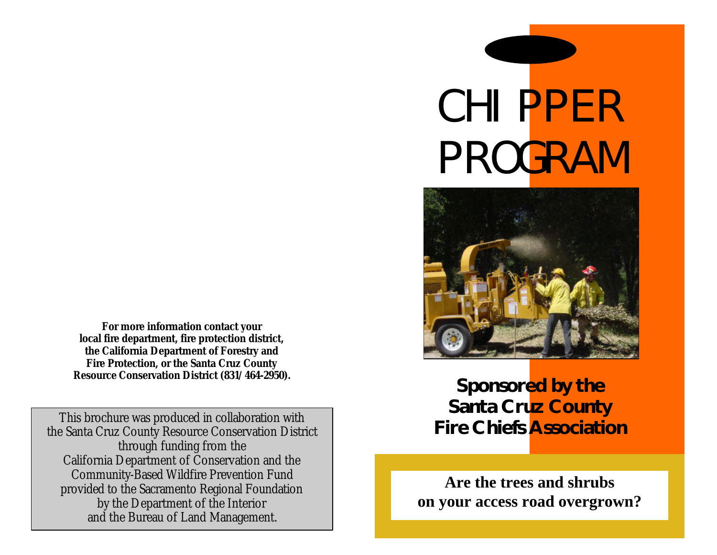**For more information contact your local fire department, fire protection district, the California Department of Forestry and Fire Protection, or the Santa Cruz County Resource Conservation District (831/464-2950).**

This brochure was produced in collaboration with the Santa Cruz County Resource Conservation District through funding from the California Department of Conservation and the Community-Based Wildfire Prevention Fund provided to the Sacramento Regional Foundation by the Department of the Interior and the Bureau of Land Management.

# CHIPPER PROGRAM



**Sponsored by the Santa Cruz County Fire Chiefs Association** 

**Are the trees and shrubs on your access road overgrown?**